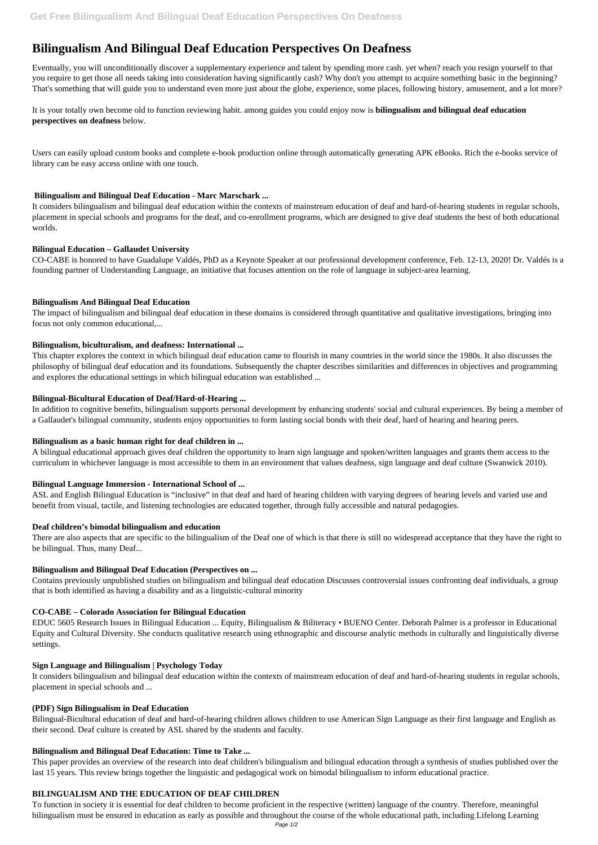# **Bilingualism And Bilingual Deaf Education Perspectives On Deafness**

Eventually, you will unconditionally discover a supplementary experience and talent by spending more cash. yet when? reach you resign yourself to that you require to get those all needs taking into consideration having significantly cash? Why don't you attempt to acquire something basic in the beginning? That's something that will guide you to understand even more just about the globe, experience, some places, following history, amusement, and a lot more?

It is your totally own become old to function reviewing habit. among guides you could enjoy now is **bilingualism and bilingual deaf education perspectives on deafness** below.

Users can easily upload custom books and complete e-book production online through automatically generating APK eBooks. Rich the e-books service of library can be easy access online with one touch.

# **Bilingualism and Bilingual Deaf Education - Marc Marschark ...**

It considers bilingualism and bilingual deaf education within the contexts of mainstream education of deaf and hard-of-hearing students in regular schools, placement in special schools and programs for the deaf, and co-enrollment programs, which are designed to give deaf students the best of both educational worlds.

#### **Bilingual Education – Gallaudet University**

CO-CABE is honored to have Guadalupe Valdés, PhD as a Keynote Speaker at our professional development conference, Feb. 12-13, 2020! Dr. Valdés is a founding partner of Understanding Language, an initiative that focuses attention on the role of language in subject-area learning.

#### **Bilingualism And Bilingual Deaf Education**

The impact of bilingualism and bilingual deaf education in these domains is considered through quantitative and qualitative investigations, bringing into focus not only common educational,...

#### **Bilingualism, biculturalism, and deafness: International ...**

This chapter explores the context in which bilingual deaf education came to flourish in many countries in the world since the 1980s. It also discusses the philosophy of bilingual deaf education and its foundations. Subsequently the chapter describes similarities and differences in objectives and programming and explores the educational settings in which bilingual education was established ...

#### **Bilingual-Bicultural Education of Deaf/Hard-of-Hearing ...**

In addition to cognitive benefits, bilingualism supports personal development by enhancing students' social and cultural experiences. By being a member of a Gallaudet's bilingual community, students enjoy opportunities to form lasting social bonds with their deaf, hard of hearing and hearing peers.

# **Bilingualism as a basic human right for deaf children in ...**

A bilingual educational approach gives deaf children the opportunity to learn sign language and spoken/written languages and grants them access to the curriculum in whichever language is most accessible to them in an environment that values deafness, sign language and deaf culture (Swanwick 2010).

# **Bilingual Language Immersion - International School of ...**

ASL and English Bilingual Education is "inclusive" in that deaf and hard of hearing children with varying degrees of hearing levels and varied use and benefit from visual, tactile, and listening technologies are educated together, through fully accessible and natural pedagogies.

#### **Deaf children's bimodal bilingualism and education**

There are also aspects that are specific to the bilingualism of the Deaf one of which is that there is still no widespread acceptance that they have the right to be bilingual. Thus, many Deaf...

# **Bilingualism and Bilingual Deaf Education (Perspectives on ...**

Contains previously unpublished studies on bilingualism and bilingual deaf education Discusses controversial issues confronting deaf individuals, a group that is both identified as having a disability and as a linguistic-cultural minority

# **CO-CABE – Colorado Association for Bilingual Education**

EDUC 5605 Research Issues in Bilingual Education ... Equity, Bilingualism & Biliteracy • BUENO Center. Deborah Palmer is a professor in Educational Equity and Cultural Diversity. She conducts qualitative research using ethnographic and discourse analytic methods in culturally and linguistically diverse

settings.

#### **Sign Language and Bilingualism | Psychology Today**

It considers bilingualism and bilingual deaf education within the contexts of mainstream education of deaf and hard-of-hearing students in regular schools, placement in special schools and ...

# **(PDF) Sign Bilingualism in Deaf Education**

Bilingual-Bicultural education of deaf and hard-of-hearing children allows children to use American Sign Language as their first language and English as their second. Deaf culture is created by ASL shared by the students and faculty.

# **Bilingualism and Bilingual Deaf Education: Time to Take ...**

This paper provides an overview of the research into deaf children's bilingualism and bilingual education through a synthesis of studies published over the last 15 years. This review brings together the linguistic and pedagogical work on bimodal bilingualism to inform educational practice.

## **BILINGUALISM AND THE EDUCATION OF DEAF CHILDREN**

To function in society it is essential for deaf children to become proficient in the respective (written) language of the country. Therefore, meaningful bilingualism must be ensured in education as early as possible and throughout the course of the whole educational path, including Lifelong Learning